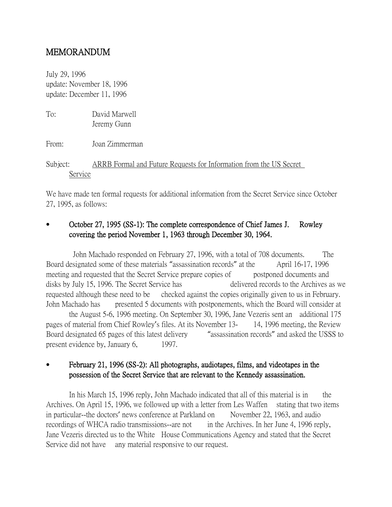# MEMORANDUM

July 29, 1996 update: November 18, 1996 update: December 11, 1996

| To:                 | David Marwell<br>Jeremy Gunn                                       |
|---------------------|--------------------------------------------------------------------|
| From:               | Joan Zimmerman                                                     |
| Subject:<br>Service | ARRB Formal and Future Requests for Information from the US Secret |

We have made ten formal requests for additional information from the Secret Service since October 27, 1995, as follows:

# October 27, 1995 (SS-1): The complete correspondence of Chief James J. Rowley covering the period November 1, 1963 through December 30, 1964.

John Machado responded on February 27, 1996, with a total of 708 documents. The Board designated some of these materials "assassination records" at the April 16-17, 1996 meeting and requested that the Secret Service prepare copies of postponed documents and disks by July 15, 1996. The Secret Service has delivered records to the Archives as we requested although these need to be checked against the copies originally given to us in February. John Machado has presented 5 documents with postponements, which the Board will consider at the August 5-6, 1996 meeting. On September 30, 1996, Jane Vezeris sent an additional 175

pages of material from Chief Rowley's files. At its November 13- 14, 1996 meeting, the Review Board designated 65 pages of this latest delivery "assassination records" and asked the USSS to present evidence by, January 6, 1997.

# February 21, 1996 (SS-2): All photographs, audiotapes, films, and videotapes in the possession of the Secret Service that are relevant to the Kennedy assassination.

In his March 15, 1996 reply, John Machado indicated that all of this material is in the Archives. On April 15, 1996, we followed up with a letter from Les Waffen stating that two items in particular--the doctors' news conference at Parkland on November 22, 1963, and audio recordings of WHCA radio transmissions--are not in the Archives. In her June 4, 1996 reply, Jane Vezeris directed us to the White House Communications Agency and stated that the Secret Service did not have any material responsive to our request.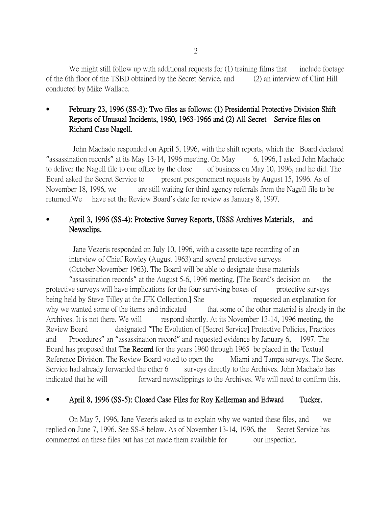We might still follow up with additional requests for (1) training films that include footage of the 6th floor of the TSBD obtained by the Secret Service, and (2) an interview of Clint Hill conducted by Mike Wallace.

#### February 23, 1996 (SS-3): Two files as follows: (1) Presidential Protective Division Shift Reports of Unusual Incidents, 1960, 1963-1966 and (2) All Secret Service files on Richard Case Nagell.

John Machado responded on April 5, 1996, with the shift reports, which the Board declared "assassination records" at its May 13-14, 1996 meeting. On May 6, 1996, I asked John Machado to deliver the Nagell file to our office by the close of business on May 10, 1996, and he did. The Board asked the Secret Service to present postponement requests by August 15, 1996. As of November 18, 1996, we are still waiting for third agency referrals from the Nagell file to be returned.We have set the Review Board's date for review as January 8, 1997.

## April 3, 1996 (SS-4): Protective Survey Reports, USSS Archives Materials, and Newsclips.

Jane Vezeris responded on July 10, 1996, with a cassette tape recording of an interview of Chief Rowley (August 1963) and several protective surveys (October-November 1963). The Board will be able to designate these materials

"assassination records" at the August 5-6, 1996 meeting. [The Board's decision on the protective surveys will have implications for the four surviving boxes of protective surveys being held by Steve Tilley at the JFK Collection.] She requested an explanation for why we wanted some of the items and indicated that some of the other material is already in the Archives. It is not there. We will respond shortly. At its November 13-14, 1996 meeting, the Review Board designated "The Evolution of [Secret Service] Protective Policies, Practices and Procedures" an "assassination record" and requested evidence by January 6, 1997. The Board has proposed that The Record for the years 1960 through 1965 be placed in the Textual Reference Division. The Review Board voted to open the Miami and Tampa surveys. The Secret Service had already forwarded the other 6 surveys directly to the Archives. John Machado has indicated that he will forward newsclippings to the Archives. We will need to confirm this.

#### April 8, 1996 (SS-5): Closed Case Files for Roy Kellerman and Edward Tucker.

On May 7, 1996, Jane Vezeris asked us to explain why we wanted these files, and we replied on June 7, 1996. See SS-8 below. As of November 13-14, 1996, the Secret Service has commented on these files but has not made them available for our inspection.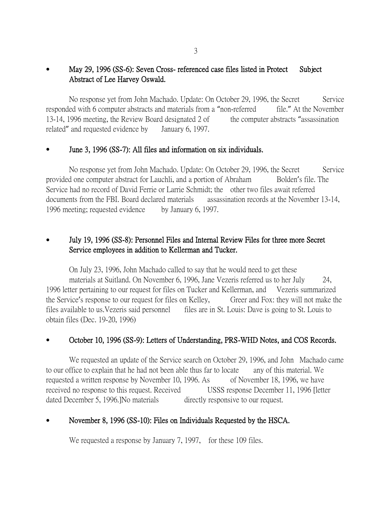# May 29, 1996 (SS-6): Seven Cross- referenced case files listed in Protect Subject Abstract of Lee Harvey Oswald.

No response yet from John Machado. Update: On October 29, 1996, the Secret Service responded with 6 computer abstracts and materials from a "non-referred file." At the November 13-14, 1996 meeting, the Review Board designated 2 of the computer abstracts "assassination" related" and requested evidence by January 6, 1997.

#### June 3, 1996 (SS-7): All files and information on six individuals.

No response yet from John Machado. Update: On October 29, 1996, the Secret Service provided one computer abstract for Lauchli, and a portion of Abraham Bolden's file. The Service had no record of David Ferrie or Larrie Schmidt; the other two files await referred documents from the FBI. Board declared materials assassination records at the November 13-14, 1996 meeting; requested evidence by January 6, 1997.

# July 19, 1996 (SS-8): Personnel Files and Internal Review Files for three more Secret Service employees in addition to Kellerman and Tucker.

On July 23, 1996, John Machado called to say that he would need to get these materials at Suitland. On November 6, 1996, Jane Vezeris referred us to her July 24, 1996 letter pertaining to our request for files on Tucker and Kellerman, and Vezeris summarized the Service's response to our request for files on Kelley, Greer and Fox: they will not make the files available to us. Vezeris said personnel files are in St. Louis: Dave is going to St. Louis to obtain files (Dec. 19-20, 1996)

## October 10, 1996 (SS-9): Letters of Understanding, PRS-WHD Notes, and COS Records.

We requested an update of the Service search on October 29, 1996, and John Machado came to our office to explain that he had not been able thus far to locate any of this material. We requested a written response by November 10, 1996. As of November 18, 1996, we have received no response to this request. Received USSS response December 11, 1996 [letter dated December 5, 1996. No materials directly responsive to our request.

## November 8, 1996 (SS-10): Files on Individuals Requested by the HSCA.

We requested a response by January 7, 1997, for these 109 files.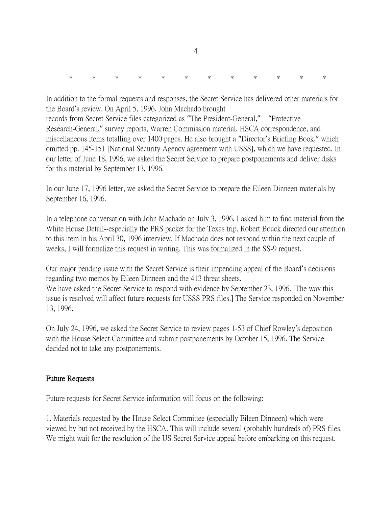|  |  |  |  |  |  |  |  | * * * * * * * * * * * * * |  |  |  |  |
|--|--|--|--|--|--|--|--|---------------------------|--|--|--|--|
|--|--|--|--|--|--|--|--|---------------------------|--|--|--|--|

In addition to the formal requests and responses, the Secret Service has delivered other materials for the Board's review. On April 5, 1996, John Machado brought records from Secret Service files categorized as "The President-General," "Protective Research-General," survey reports, Warren Commission material, HSCA correspondence, and miscellaneous items totalling over 1400 pages. He also brought a "Director's Briefing Book," which omitted pp. 145-151 [National Security Agency agreement with USSS], which we have requested. In our letter of June 18, 1996, we asked the Secret Service to prepare postponements and deliver disks for this material by September 13, 1996.

In our June 17, 1996 letter, we asked the Secret Service to prepare the Eileen Dinneen materials by September 16, 1996.

In a telephone conversation with John Machado on July 3, 1996, I asked him to find material from the White House Detail--especially the PRS packet for the Texas trip. Robert Bouck directed our attention to this item in his April 30, 1996 interview. If Machado does not respond within the next couple of weeks, I will formalize this request in writing. This was formalized in the SS-9 request.

Our major pending issue with the Secret Service is their impending appeal of the Board's decisions regarding two memos by Eileen Dinneen and the 413 threat sheets. We have asked the Secret Service to respond with evidence by September 23, 1996. [The way this issue is resolved will affect future requests for USSS PRS files.] The Service responded on November

On July 24, 1996, we asked the Secret Service to review pages 1-53 of Chief Rowley's deposition with the House Select Committee and submit postponements by October 15, 1996. The Service decided not to take any postponements.

## Future Requests

13, 1996.

Future requests for Secret Service information will focus on the following:

1. Materials requested by the House Select Committee (especially Eileen Dinneen) which were viewed by but not received by the HSCA. This will include several (probably hundreds of) PRS files. We might wait for the resolution of the US Secret Service appeal before embarking on this request.